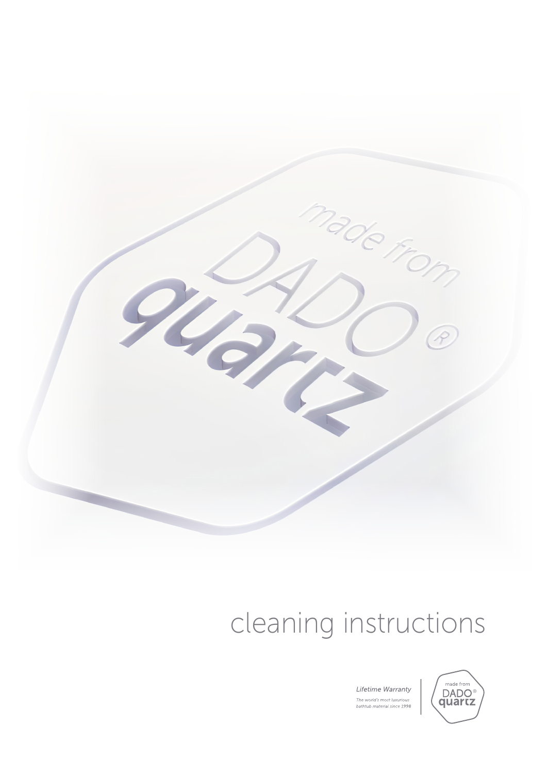

# cleaning instructions

Lifetime Warranty The world's most luxurious<br>bathtub material since 1998

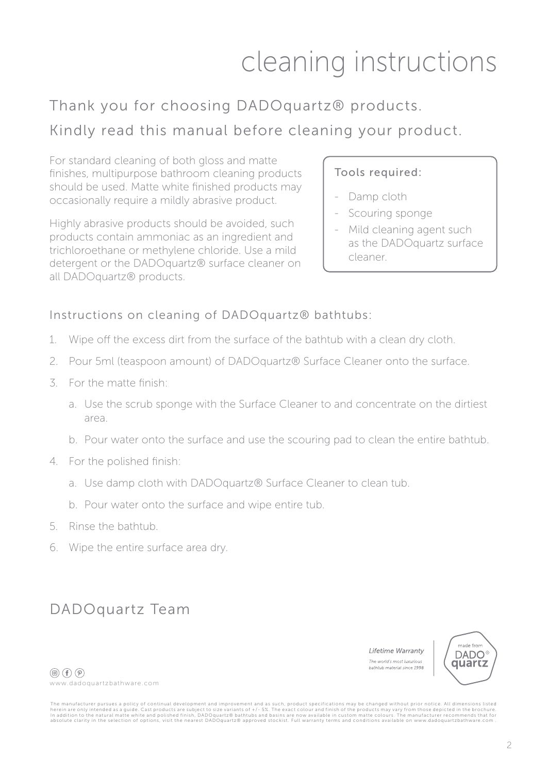## cleaning instructions

### Thank you for choosing DADOquartz® products. Kindly read this manual before cleaning your product.

For standard cleaning of both gloss and matte finishes, multipurpose bathroom cleaning products should be used. Matte white finished products may occasionally require a mildly abrasive product.

Highly abrasive products should be avoided, such products contain ammoniac as an ingredient and trichloroethane or methylene chloride. Use a mild detergent or the DADOquartz® surface cleaner on all DADOquartz® products.

#### Tools required:

- Damp cloth
- Scouring sponge
- Mild cleaning agent such as the DADOquartz surface cleaner.

#### Instructions on cleaning of DADOquartz® bathtubs:

- 1. Wipe off the excess dirt from the surface of the bathtub with a clean dry cloth.
- 2. Pour 5ml (teaspoon amount) of DADOquartz® Surface Cleaner onto the surface.
- 3. For the matte finish:
	- a. Use the scrub sponge with the Surface Cleaner to and concentrate on the dirtiest area.
	- b. Pour water onto the surface and use the scouring pad to clean the entire bathtub.
- 4. For the polished finish:
	- a. Use damp cloth with DADOquartz® Surface Cleaner to clean tub.
	- b. Pour water onto the surface and wipe entire tub.
- 5. Rinse the bathtub.
- 6. Wipe the entire surface area dry.

### DADOquartz Team

Lifetime Warranty The world's most luxurious bathtub material since 1998



 $\circledcirc$  (f)  $\circledcirc$ ) www.dadoquartzbathware.com

The manufacturer pursues a policy of continual development and improvement and as such, product specifications may be changed without prior notice. All dimensions listed<br>herein are only intended as a guide. Cast products a